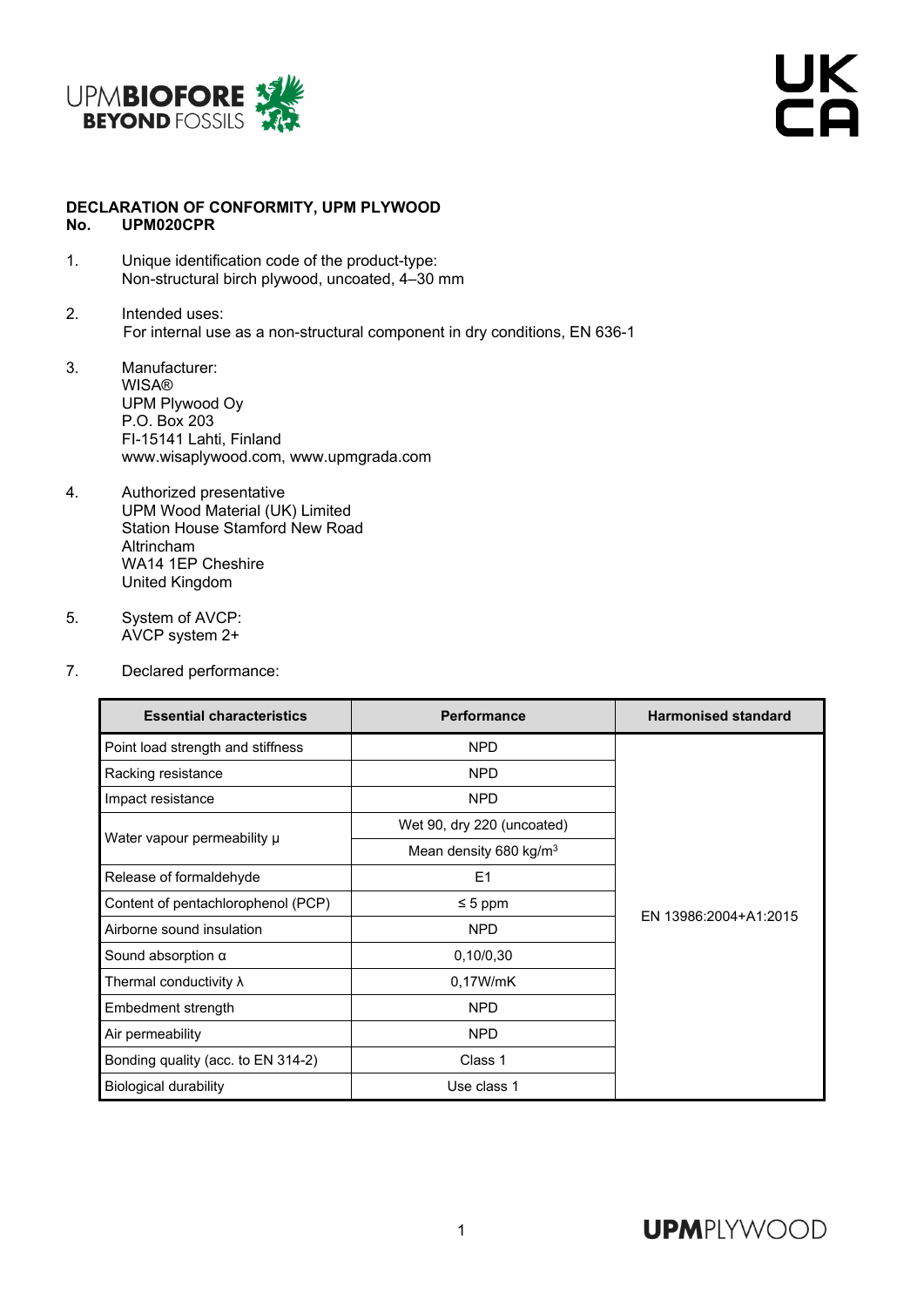

UK<br>CA

## **DECLARATION OF CONFORMITY, UPM PLYWOOD No. UPM020CPR**

- 1. Unique identification code of the product-type: Non-structural birch plywood, uncoated, 4–30 mm
- 2. Intended uses: For internal use as a non-structural component in dry conditions, EN 636-1
- 3. Manufacturer: WISA® UPM Plywood Oy P.O. Box 203 FI-15141 Lahti, Finland www.wisaplywood.com, www.upmgrada.com
- 4. Authorized presentative UPM Wood Material (UK) Limited Station House Stamford New Road Altrincham WA14 1EP Cheshire United Kingdom
- 5. System of AVCP: AVCP system 2+
- 7. Declared performance:

| <b>Essential characteristics</b>   | <b>Performance</b>                 | <b>Harmonised standard</b> |  |
|------------------------------------|------------------------------------|----------------------------|--|
| Point load strength and stiffness  | <b>NPD</b>                         |                            |  |
| Racking resistance                 | <b>NPD</b>                         |                            |  |
| Impact resistance                  | <b>NPD</b>                         |                            |  |
| Water vapour permeability µ        | Wet 90, dry 220 (uncoated)         |                            |  |
|                                    | Mean density 680 kg/m <sup>3</sup> |                            |  |
| Release of formaldehyde            | E1                                 |                            |  |
| Content of pentachlorophenol (PCP) | $\leq 5$ ppm                       |                            |  |
| Airborne sound insulation          | <b>NPD</b>                         | EN 13986:2004+A1:2015      |  |
| Sound absorption $\alpha$          | 0,10/0,30                          |                            |  |
| Thermal conductivity $\lambda$     | 0,17W/mK                           |                            |  |
| Embedment strength                 | <b>NPD</b>                         |                            |  |
| Air permeability                   | <b>NPD</b>                         |                            |  |
| Bonding quality (acc. to EN 314-2) | Class 1                            |                            |  |
| <b>Biological durability</b>       | Use class 1                        |                            |  |